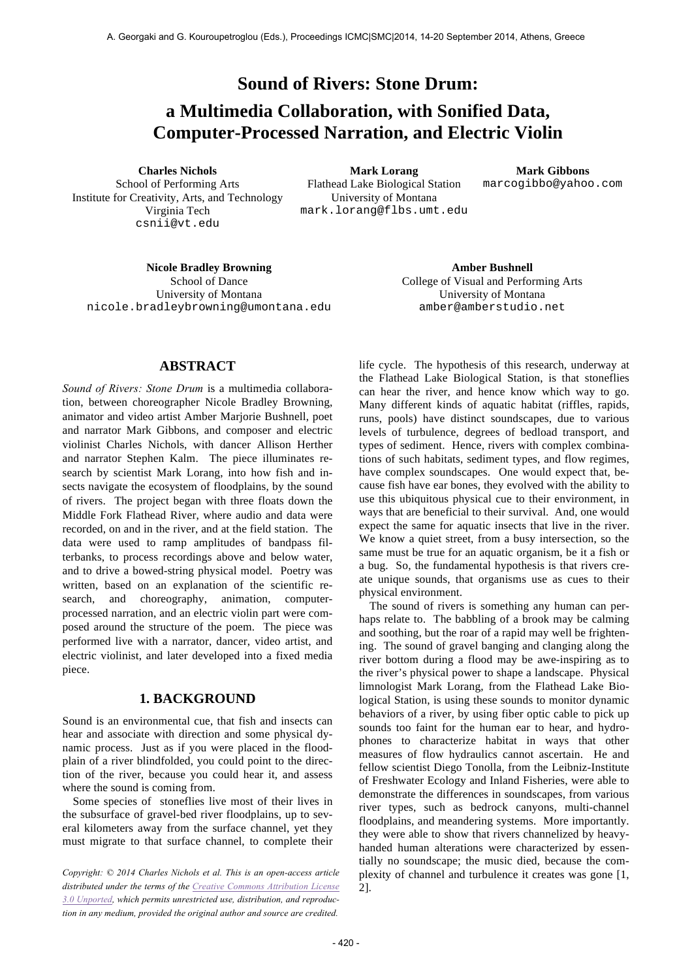**Sound of Rivers: Stone Drum:**

# **a Multimedia Collaboration, with Sonified Data, Computer-Processed Narration, and Electric Violin**

School of Performing Arts Institute for Creativity, Arts, and Technology Virginia Tech csnii@vt.edu

**Charles Nichols Mark Lorang Mark Gibbons** Flathead Lake Biological Station University of Montana mark.lorang@flbs.umt.edu

marcogibbo@yahoo.com

**Nicole Bradley Browning Amber Bushnell** School of Dance University of Montana nicole.bradleybrowning@umontana.edu

College of Visual and Performing Arts University of Montana amber@amberstudio.net

# **ABSTRACT**

*Sound of Rivers: Stone Drum* is a multimedia collaboration, between choreographer Nicole Bradley Browning, animator and video artist Amber Marjorie Bushnell, poet and narrator Mark Gibbons, and composer and electric violinist Charles Nichols, with dancer Allison Herther and narrator Stephen Kalm. The piece illuminates research by scientist Mark Lorang, into how fish and insects navigate the ecosystem of floodplains, by the sound of rivers. The project began with three floats down the Middle Fork Flathead River, where audio and data were recorded, on and in the river, and at the field station. The data were used to ramp amplitudes of bandpass filterbanks, to process recordings above and below water, and to drive a bowed-string physical model. Poetry was written, based on an explanation of the scientific research, and choreography, animation, computerprocessed narration, and an electric violin part were composed around the structure of the poem. The piece was performed live with a narrator, dancer, video artist, and electric violinist, and later developed into a fixed media piece.

#### **1. BACKGROUND**

Sound is an environmental cue, that fish and insects can hear and associate with direction and some physical dynamic process. Just as if you were placed in the floodplain of a river blindfolded, you could point to the direction of the river, because you could hear it, and assess where the sound is coming from.

Some species of stoneflies live most of their lives in the subsurface of gravel-bed river floodplains, up to several kilometers away from the surface channel, yet they must migrate to that surface channel, to complete their

*Copyright: © 2014 Charles Nichols et al. This is an open-access article distributed under the terms of the Creative Commons Attribution License 3.0 Unported, which permits unrestricted use, distribution, and reproduction in any medium, provided the original author and source are credited.*

life cycle. The hypothesis of this research, underway at the Flathead Lake Biological Station, is that stoneflies can hear the river, and hence know which way to go. Many different kinds of aquatic habitat (riffles, rapids, runs, pools) have distinct soundscapes, due to various levels of turbulence, degrees of bedload transport, and types of sediment. Hence, rivers with complex combinations of such habitats, sediment types, and flow regimes, have complex soundscapes. One would expect that, because fish have ear bones, they evolved with the ability to use this ubiquitous physical cue to their environment, in ways that are beneficial to their survival. And, one would expect the same for aquatic insects that live in the river. We know a quiet street, from a busy intersection, so the same must be true for an aquatic organism, be it a fish or a bug. So, the fundamental hypothesis is that rivers create unique sounds, that organisms use as cues to their physical environment.

The sound of rivers is something any human can perhaps relate to. The babbling of a brook may be calming and soothing, but the roar of a rapid may well be frightening. The sound of gravel banging and clanging along the river bottom during a flood may be awe-inspiring as to the river's physical power to shape a landscape. Physical limnologist Mark Lorang, from the Flathead Lake Biological Station, is using these sounds to monitor dynamic behaviors of a river, by using fiber optic cable to pick up sounds too faint for the human ear to hear, and hydrophones to characterize habitat in ways that other measures of flow hydraulics cannot ascertain. He and fellow scientist Diego Tonolla, from the Leibniz-Institute of Freshwater Ecology and Inland Fisheries, were able to demonstrate the differences in soundscapes, from various river types, such as bedrock canyons, multi-channel floodplains, and meandering systems. More importantly. they were able to show that rivers channelized by heavyhanded human alterations were characterized by essentially no soundscape; the music died, because the complexity of channel and turbulence it creates was gone [1, 2].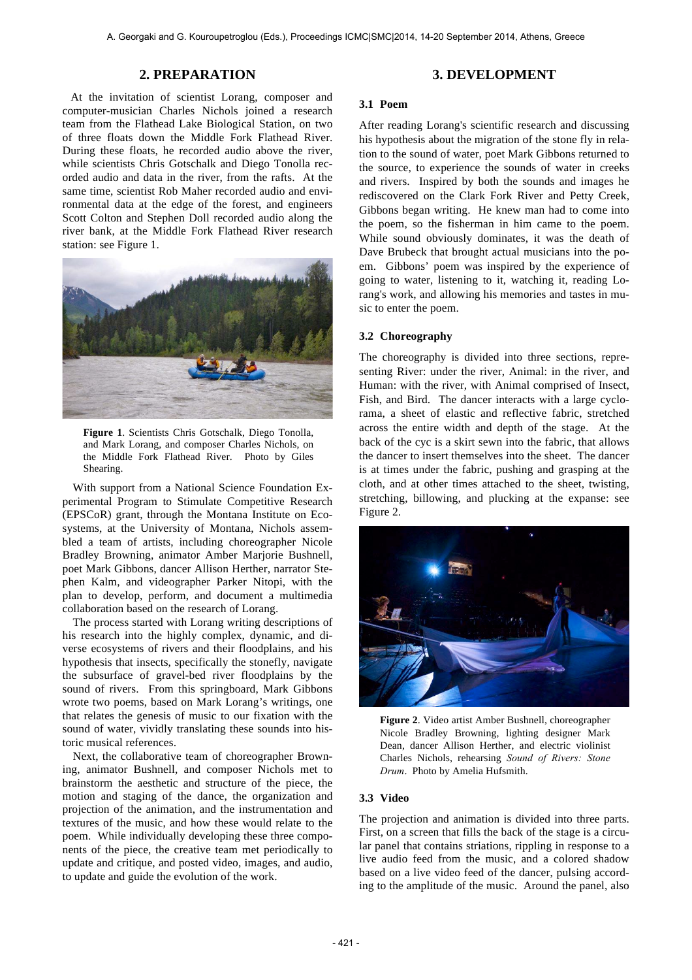## **2. PREPARATION**

At the invitation of scientist Lorang, composer and computer-musician Charles Nichols joined a research team from the Flathead Lake Biological Station, on two of three floats down the Middle Fork Flathead River. During these floats, he recorded audio above the river, while scientists Chris Gotschalk and Diego Tonolla recorded audio and data in the river, from the rafts. At the same time, scientist Rob Maher recorded audio and environmental data at the edge of the forest, and engineers Scott Colton and Stephen Doll recorded audio along the river bank, at the Middle Fork Flathead River research station: see Figure 1.



**Figure 1**. Scientists Chris Gotschalk, Diego Tonolla, and Mark Lorang, and composer Charles Nichols, on the Middle Fork Flathead River. Photo by Giles Shearing.

With support from a National Science Foundation Experimental Program to Stimulate Competitive Research (EPSCoR) grant, through the Montana Institute on Ecosystems, at the University of Montana, Nichols assembled a team of artists, including choreographer Nicole Bradley Browning, animator Amber Marjorie Bushnell, poet Mark Gibbons, dancer Allison Herther, narrator Stephen Kalm, and videographer Parker Nitopi, with the plan to develop, perform, and document a multimedia collaboration based on the research of Lorang.

The process started with Lorang writing descriptions of his research into the highly complex, dynamic, and diverse ecosystems of rivers and their floodplains, and his hypothesis that insects, specifically the stonefly, navigate the subsurface of gravel-bed river floodplains by the sound of rivers. From this springboard, Mark Gibbons wrote two poems, based on Mark Lorang's writings, one that relates the genesis of music to our fixation with the sound of water, vividly translating these sounds into historic musical references.

Next, the collaborative team of choreographer Browning, animator Bushnell, and composer Nichols met to brainstorm the aesthetic and structure of the piece, the motion and staging of the dance, the organization and projection of the animation, and the instrumentation and textures of the music, and how these would relate to the poem. While individually developing these three components of the piece, the creative team met periodically to update and critique, and posted video, images, and audio, to update and guide the evolution of the work.

# **3. DEVELOPMENT**

#### **3.1 Poem**

After reading Lorang's scientific research and discussing his hypothesis about the migration of the stone fly in relation to the sound of water, poet Mark Gibbons returned to the source, to experience the sounds of water in creeks and rivers. Inspired by both the sounds and images he rediscovered on the Clark Fork River and Petty Creek, Gibbons began writing. He knew man had to come into the poem, so the fisherman in him came to the poem. While sound obviously dominates, it was the death of Dave Brubeck that brought actual musicians into the poem. Gibbons' poem was inspired by the experience of going to water, listening to it, watching it, reading Lorang's work, and allowing his memories and tastes in music to enter the poem.

#### **3.2 Choreography**

The choreography is divided into three sections, representing River: under the river, Animal: in the river, and Human: with the river, with Animal comprised of Insect, Fish, and Bird. The dancer interacts with a large cyclorama, a sheet of elastic and reflective fabric, stretched across the entire width and depth of the stage. At the back of the cyc is a skirt sewn into the fabric, that allows the dancer to insert themselves into the sheet. The dancer is at times under the fabric, pushing and grasping at the cloth, and at other times attached to the sheet, twisting, stretching, billowing, and plucking at the expanse: see Figure 2.



**Figure 2**. Video artist Amber Bushnell, choreographer Nicole Bradley Browning, lighting designer Mark Dean, dancer Allison Herther, and electric violinist Charles Nichols, rehearsing *Sound of Rivers: Stone Drum*. Photo by Amelia Hufsmith.

#### **3.3 Video**

The projection and animation is divided into three parts. First, on a screen that fills the back of the stage is a circular panel that contains striations, rippling in response to a live audio feed from the music, and a colored shadow based on a live video feed of the dancer, pulsing according to the amplitude of the music. Around the panel, also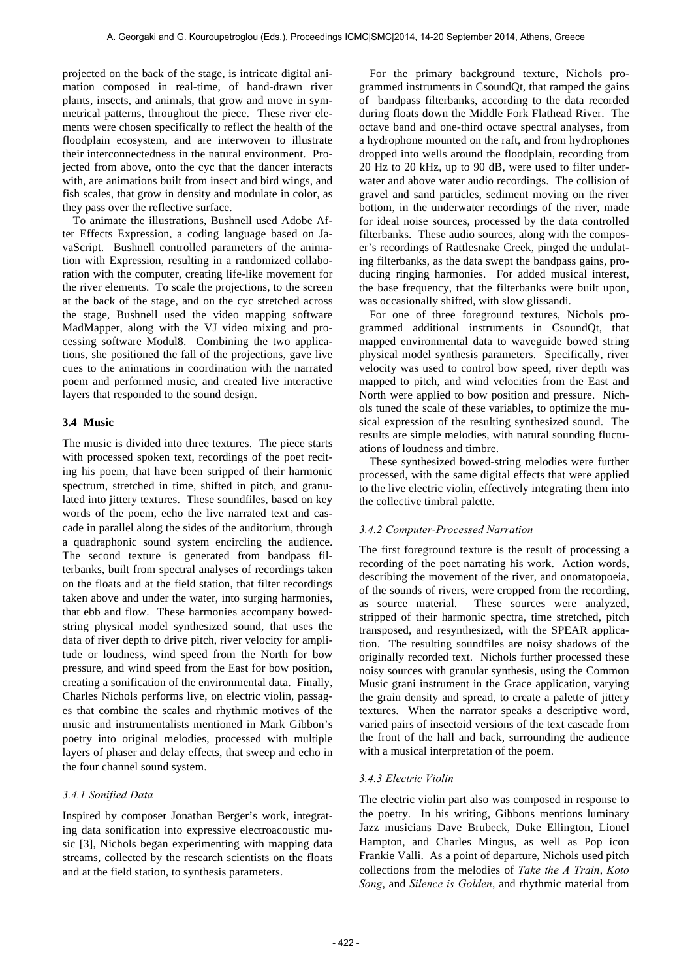projected on the back of the stage, is intricate digital animation composed in real-time, of hand-drawn river plants, insects, and animals, that grow and move in symmetrical patterns, throughout the piece. These river elements were chosen specifically to reflect the health of the floodplain ecosystem, and are interwoven to illustrate their interconnectedness in the natural environment. Projected from above, onto the cyc that the dancer interacts with, are animations built from insect and bird wings, and fish scales, that grow in density and modulate in color, as they pass over the reflective surface.

To animate the illustrations, Bushnell used Adobe After Effects Expression, a coding language based on JavaScript. Bushnell controlled parameters of the animation with Expression, resulting in a randomized collaboration with the computer, creating life-like movement for the river elements. To scale the projections, to the screen at the back of the stage, and on the cyc stretched across the stage, Bushnell used the video mapping software MadMapper, along with the VJ video mixing and processing software Modul8. Combining the two applications, she positioned the fall of the projections, gave live cues to the animations in coordination with the narrated poem and performed music, and created live interactive layers that responded to the sound design.

#### **3.4 Music**

The music is divided into three textures. The piece starts with processed spoken text, recordings of the poet reciting his poem, that have been stripped of their harmonic spectrum, stretched in time, shifted in pitch, and granulated into jittery textures. These soundfiles, based on key words of the poem, echo the live narrated text and cascade in parallel along the sides of the auditorium, through a quadraphonic sound system encircling the audience. The second texture is generated from bandpass filterbanks, built from spectral analyses of recordings taken on the floats and at the field station, that filter recordings taken above and under the water, into surging harmonies, that ebb and flow. These harmonies accompany bowedstring physical model synthesized sound, that uses the data of river depth to drive pitch, river velocity for amplitude or loudness, wind speed from the North for bow pressure, and wind speed from the East for bow position, creating a sonification of the environmental data. Finally, Charles Nichols performs live, on electric violin, passages that combine the scales and rhythmic motives of the music and instrumentalists mentioned in Mark Gibbon's poetry into original melodies, processed with multiple layers of phaser and delay effects, that sweep and echo in the four channel sound system.

# *3.4.1 Sonified Data*

Inspired by composer Jonathan Berger's work, integrating data sonification into expressive electroacoustic music [3], Nichols began experimenting with mapping data streams, collected by the research scientists on the floats and at the field station, to synthesis parameters.

For the primary background texture, Nichols programmed instruments in CsoundQt, that ramped the gains of bandpass filterbanks, according to the data recorded during floats down the Middle Fork Flathead River. The octave band and one-third octave spectral analyses, from a hydrophone mounted on the raft, and from hydrophones dropped into wells around the floodplain, recording from 20 Hz to 20 kHz, up to 90 dB, were used to filter underwater and above water audio recordings. The collision of gravel and sand particles, sediment moving on the river bottom, in the underwater recordings of the river, made for ideal noise sources, processed by the data controlled filterbanks. These audio sources, along with the composer's recordings of Rattlesnake Creek, pinged the undulating filterbanks, as the data swept the bandpass gains, producing ringing harmonies. For added musical interest, the base frequency, that the filterbanks were built upon, was occasionally shifted, with slow glissandi.

For one of three foreground textures, Nichols programmed additional instruments in CsoundQt, that mapped environmental data to waveguide bowed string physical model synthesis parameters. Specifically, river velocity was used to control bow speed, river depth was mapped to pitch, and wind velocities from the East and North were applied to bow position and pressure. Nichols tuned the scale of these variables, to optimize the musical expression of the resulting synthesized sound. The results are simple melodies, with natural sounding fluctuations of loudness and timbre.

These synthesized bowed-string melodies were further processed, with the same digital effects that were applied to the live electric violin, effectively integrating them into the collective timbral palette.

#### *3.4.2 Computer-Processed Narration*

The first foreground texture is the result of processing a recording of the poet narrating his work. Action words, describing the movement of the river, and onomatopoeia, of the sounds of rivers, were cropped from the recording, as source material. These sources were analyzed, stripped of their harmonic spectra, time stretched, pitch transposed, and resynthesized, with the SPEAR application. The resulting soundfiles are noisy shadows of the originally recorded text. Nichols further processed these noisy sources with granular synthesis, using the Common Music grani instrument in the Grace application, varying the grain density and spread, to create a palette of jittery textures. When the narrator speaks a descriptive word, varied pairs of insectoid versions of the text cascade from the front of the hall and back, surrounding the audience with a musical interpretation of the poem.

#### *3.4.3 Electric Violin*

The electric violin part also was composed in response to the poetry. In his writing, Gibbons mentions luminary Jazz musicians Dave Brubeck, Duke Ellington, Lionel Hampton, and Charles Mingus, as well as Pop icon Frankie Valli. As a point of departure, Nichols used pitch collections from the melodies of *Take the A Train*, *Koto Song*, and *Silence is Golden*, and rhythmic material from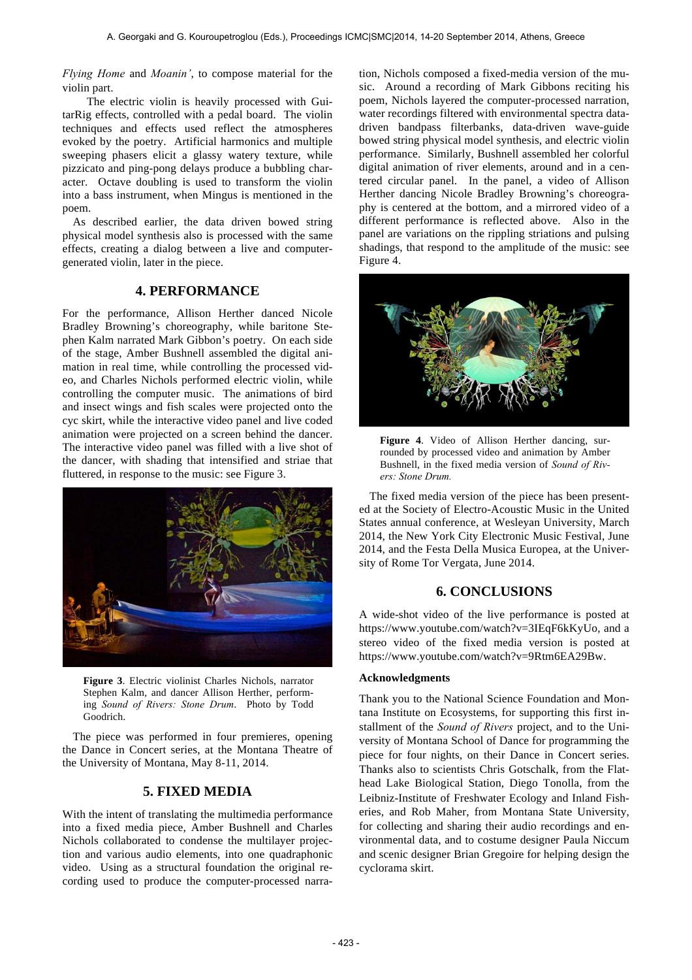*Flying Home* and *Moanin'*, to compose material for the violin part.

The electric violin is heavily processed with GuitarRig effects, controlled with a pedal board. The violin techniques and effects used reflect the atmospheres evoked by the poetry. Artificial harmonics and multiple sweeping phasers elicit a glassy watery texture, while pizzicato and ping-pong delays produce a bubbling character. Octave doubling is used to transform the violin into a bass instrument, when Mingus is mentioned in the poem.

As described earlier, the data driven bowed string physical model synthesis also is processed with the same effects, creating a dialog between a live and computergenerated violin, later in the piece.

# **4. PERFORMANCE**

For the performance, Allison Herther danced Nicole Bradley Browning's choreography, while baritone Stephen Kalm narrated Mark Gibbon's poetry. On each side of the stage, Amber Bushnell assembled the digital animation in real time, while controlling the processed video, and Charles Nichols performed electric violin, while controlling the computer music. The animations of bird and insect wings and fish scales were projected onto the cyc skirt, while the interactive video panel and live coded animation were projected on a screen behind the dancer. The interactive video panel was filled with a live shot of the dancer, with shading that intensified and striae that fluttered, in response to the music: see Figure 3.



**Figure 3**. Electric violinist Charles Nichols, narrator Stephen Kalm, and dancer Allison Herther, performing *Sound of Rivers: Stone Drum*. Photo by Todd Goodrich.

The piece was performed in four premieres, opening the Dance in Concert series, at the Montana Theatre of the University of Montana, May 8-11, 2014.

## **5. FIXED MEDIA**

With the intent of translating the multimedia performance into a fixed media piece, Amber Bushnell and Charles Nichols collaborated to condense the multilayer projection and various audio elements, into one quadraphonic video. Using as a structural foundation the original recording used to produce the computer-processed narration, Nichols composed a fixed-media version of the music. Around a recording of Mark Gibbons reciting his poem, Nichols layered the computer-processed narration, water recordings filtered with environmental spectra datadriven bandpass filterbanks, data-driven wave-guide bowed string physical model synthesis, and electric violin performance. Similarly, Bushnell assembled her colorful digital animation of river elements, around and in a centered circular panel. In the panel, a video of Allison Herther dancing Nicole Bradley Browning's choreography is centered at the bottom, and a mirrored video of a different performance is reflected above. Also in the panel are variations on the rippling striations and pulsing shadings, that respond to the amplitude of the music: see Figure 4.



**Figure 4**. Video of Allison Herther dancing, surrounded by processed video and animation by Amber Bushnell, in the fixed media version of *Sound of Rivers: Stone Drum.* 

The fixed media version of the piece has been presented at the Society of Electro-Acoustic Music in the United States annual conference, at Wesleyan University, March 2014, the New York City Electronic Music Festival, June 2014, and the Festa Della Musica Europea, at the University of Rome Tor Vergata, June 2014.

# **6. CONCLUSIONS**

A wide-shot video of the live performance is posted at https://www.youtube.com/watch?v=3IEqF6kKyUo, and a stereo video of the fixed media version is posted at https://www.youtube.com/watch?v=9Rtm6EA29Bw.

#### **Acknowledgments**

Thank you to the National Science Foundation and Montana Institute on Ecosystems, for supporting this first installment of the *Sound of Rivers* project, and to the University of Montana School of Dance for programming the piece for four nights, on their Dance in Concert series. Thanks also to scientists Chris Gotschalk, from the Flathead Lake Biological Station, Diego Tonolla, from the Leibniz-Institute of Freshwater Ecology and Inland Fisheries, and Rob Maher, from Montana State University, for collecting and sharing their audio recordings and environmental data, and to costume designer Paula Niccum and scenic designer Brian Gregoire for helping design the cyclorama skirt.